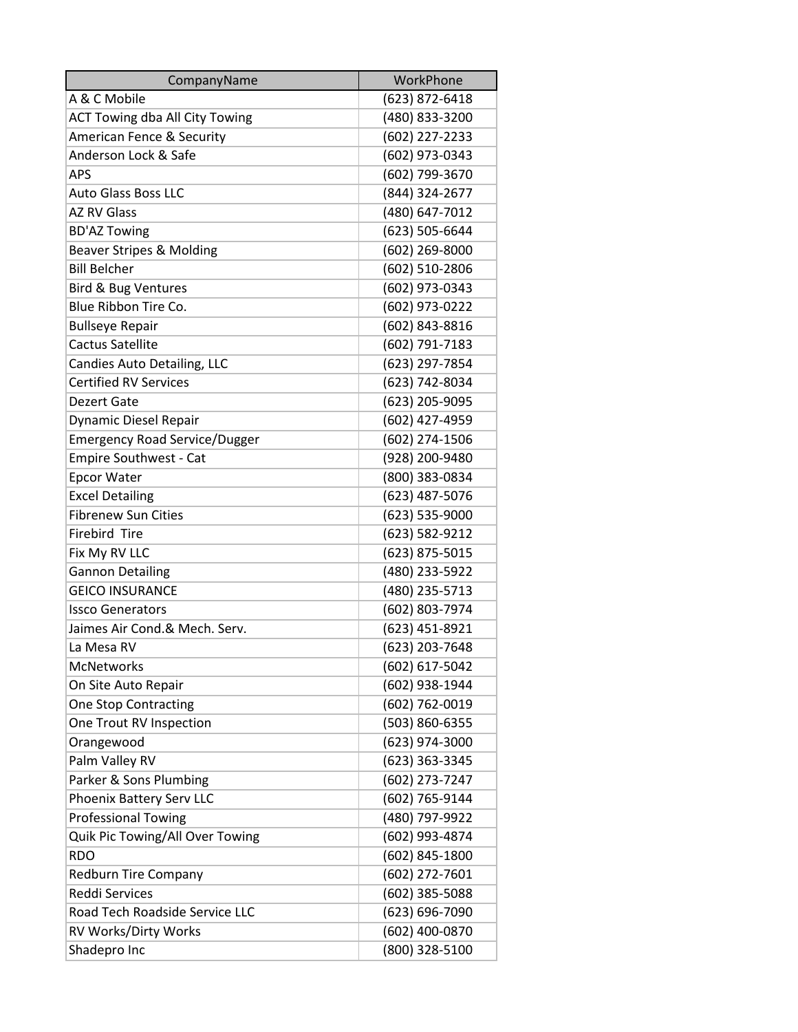| CompanyName                           | WorkPhone      |
|---------------------------------------|----------------|
| A & C Mobile                          | (623) 872-6418 |
| <b>ACT Towing dba All City Towing</b> | (480) 833-3200 |
| American Fence & Security             | (602) 227-2233 |
| Anderson Lock & Safe                  | (602) 973-0343 |
| <b>APS</b>                            | (602) 799-3670 |
| <b>Auto Glass Boss LLC</b>            | (844) 324-2677 |
| <b>AZ RV Glass</b>                    | (480) 647-7012 |
| <b>BD'AZ Towing</b>                   | (623) 505-6644 |
| <b>Beaver Stripes &amp; Molding</b>   | (602) 269-8000 |
| <b>Bill Belcher</b>                   | (602) 510-2806 |
| Bird & Bug Ventures                   | (602) 973-0343 |
| Blue Ribbon Tire Co.                  | (602) 973-0222 |
| <b>Bullseye Repair</b>                | (602) 843-8816 |
| <b>Cactus Satellite</b>               | (602) 791-7183 |
| Candies Auto Detailing, LLC           | (623) 297-7854 |
| <b>Certified RV Services</b>          | (623) 742-8034 |
| <b>Dezert Gate</b>                    | (623) 205-9095 |
| <b>Dynamic Diesel Repair</b>          | (602) 427-4959 |
| <b>Emergency Road Service/Dugger</b>  | (602) 274-1506 |
| <b>Empire Southwest - Cat</b>         | (928) 200-9480 |
| <b>Epcor Water</b>                    | (800) 383-0834 |
| <b>Excel Detailing</b>                | (623) 487-5076 |
| <b>Fibrenew Sun Cities</b>            | (623) 535-9000 |
| <b>Firebird Tire</b>                  | (623) 582-9212 |
| Fix My RV LLC                         | (623) 875-5015 |
| Gannon Detailing                      | (480) 233-5922 |
| <b>GEICO INSURANCE</b>                | (480) 235-5713 |
| <b>Issco Generators</b>               | (602) 803-7974 |
| Jaimes Air Cond.& Mech. Serv.         | (623) 451-8921 |
| La Mesa RV                            | (623) 203-7648 |
| <b>McNetworks</b>                     | (602) 617-5042 |
| On Site Auto Repair                   | (602) 938-1944 |
| <b>One Stop Contracting</b>           | (602) 762-0019 |
| One Trout RV Inspection               | (503) 860-6355 |
| Orangewood                            | (623) 974-3000 |
| Palm Valley RV                        | (623) 363-3345 |
| Parker & Sons Plumbing                | (602) 273-7247 |
| Phoenix Battery Serv LLC              | (602) 765-9144 |
| <b>Professional Towing</b>            | (480) 797-9922 |
| Quik Pic Towing/All Over Towing       | (602) 993-4874 |
| <b>RDO</b>                            | (602) 845-1800 |
| <b>Redburn Tire Company</b>           | (602) 272-7601 |
| <b>Reddi Services</b>                 | (602) 385-5088 |
| Road Tech Roadside Service LLC        | (623) 696-7090 |
| RV Works/Dirty Works                  | (602) 400-0870 |
| Shadepro Inc                          | (800) 328-5100 |